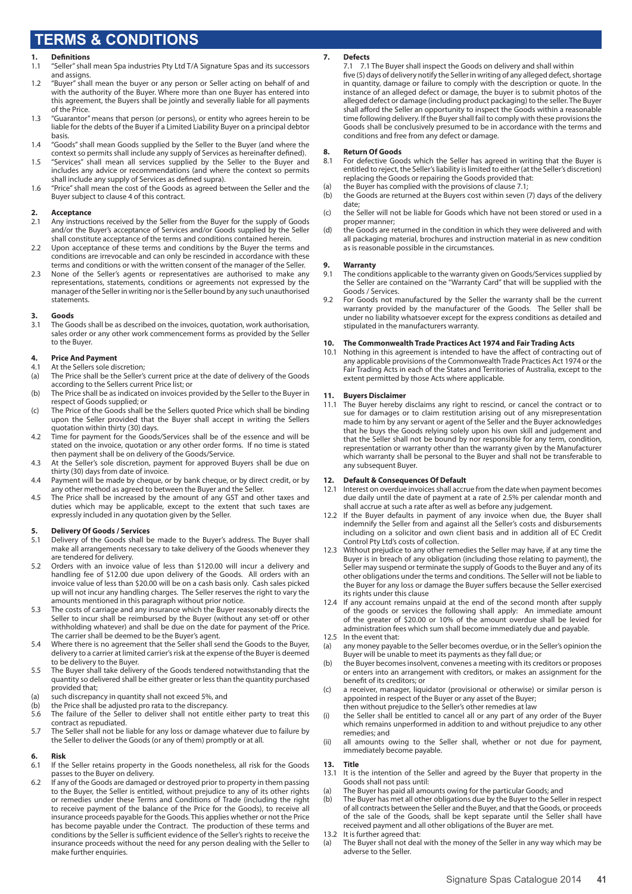# **TERMS & CONDITIONS**

### **1. Definitions**

- 1.1 "Seller" shall mean Spa industries Pty Ltd T/A Signature Spas and its successors and assigns.
- 1.2 "Buyer" shall mean the buyer or any person or Seller acting on behalf of and with the authority of the Buyer. Where more than one Buyer has entered into this agreement, the Buyers shall be jointly and severally liable for all payments of the Price.
- 1.3 "Guarantor" means that person (or persons), or entity who agrees herein to be liable for the debts of the Buyer if a Limited Liability Buyer on a principal debtor basis.
- 1.4 "Goods" shall mean Goods supplied by the Seller to the Buyer (and where the context so permits shall include any supply of Services as hereinafter defined).
- 1.5 "Services" shall mean all services supplied by the Seller to the Buyer and includes any advice or recommendations (and where the context so permits shall include any supply of Services as defined supra).
- 1.6 "Price" shall mean the cost of the Goods as agreed between the Seller and the Buyer subject to clause 4 of this contract.

#### **2. Acceptance**

- 2.1 Any instructions received by the Seller from the Buyer for the supply of Goods and/or the Buyer's acceptance of Services and/or Goods supplied by the Seller shall constitute acceptance of the terms and conditions contained herein.
- 2.2 Upon acceptance of these terms and conditions by the Buyer the terms and conditions are irrevocable and can only be rescinded in accordance with these terms and conditions or with the written consent of the manager of the Seller.
- 2.3 None of the Seller's agents or representatives are authorised to make any representations, statements, conditions or agreements not expressed by the manager of the Seller in writing nor is the Seller bound by any such unauthorised statements.

### **3. Goods**

The Goods shall be as described on the invoices, quotation, work authorisation, sales order or any other work commencement forms as provided by the Seller to the Buyer.

#### **4. Price And Payment**

- 4.1 At the Sellers sole discretion;
- (a) The Price shall be the Seller's current price at the date of delivery of the Goods according to the Sellers current Price list; or
- (b) The Price shall be as indicated on invoices provided by the Seller to the Buyer in respect of Goods supplied; or
- (c) The Price of the Goods shall be the Sellers quoted Price which shall be binding upon the Seller provided that the Buyer shall accept in writing the Sellers quotation within thirty (30) days.
- 4.2 Time for payment for the Goods/Services shall be of the essence and will be stated on the invoice, quotation or any other order forms. If no time is stated then payment shall be on delivery of the Goods/Service.
- 4.3 At the Seller's sole discretion, payment for approved Buyers shall be due on thirty (30) days from date of invoice.
- 4.4 Payment will be made by cheque, or by bank cheque, or by direct credit, or by any other method as agreed to between the Buyer and the Seller.
- 4.5 The Price shall be increased by the amount of any GST and other taxes and duties which may be applicable, except to the extent that such taxes are expressly included in any quotation given by the Seller.

### **5. Delivery Of Goods / Services**

- 5.1 Delivery of the Goods shall be made to the Buyer's address. The Buyer shall make all arrangements necessary to take delivery of the Goods whenever they are tendered for delivery.
- 5.2 Orders with an invoice value of less than \$120.00 will incur a delivery and handling fee of \$12.00 due upon delivery of the Goods. All orders with an invoice value of less than \$20.00 will be on a cash basis only. Cash sales picked up will not incur any handling charges. The Seller reserves the right to vary the amounts mentioned in this paragraph without prior notice.
- The costs of carriage and any insurance which the Buyer reasonably directs the Seller to incur shall be reimbursed by the Buyer (without any set-off or other withholding whatever) and shall be due on the date for payment of the Price. The carrier shall be deemed to be the Buyer's agent.
- 5.4 Where there is no agreement that the Seller shall send the Goods to the Buyer, delivery to a carrier at limited carrier's risk at the expense of the Buyer is deemed to be delivery to the Buyer.
- 5.5 The Buyer shall take delivery of the Goods tendered notwithstanding that the quantity so delivered shall be either greater or less than the quantity purchased provided that;
- (a) such discrepancy in quantity shall not exceed 5%, and<br>(b) the Price shall be adjusted pro rata to the discrepancy.
- (b) the Price shall be adjusted pro rata to the discrepancy.<br>5.6 The failure of the Seller to deliver shall not entitle of
- The failure of the Seller to deliver shall not entitle either party to treat this contract as repudiated.
- 5.7 The Seller shall not be liable for any loss or damage whatever due to failure by the Seller to deliver the Goods (or any of them) promptly or at all.

#### **6. Risk**

- 6.1 If the Seller retains property in the Goods nonetheless, all risk for the Goods passes to the Buyer on delivery.
- 6.2 If any of the Goods are damaged or destroyed prior to property in them passing to the Buyer, the Seller is entitled, without prejudice to any of its other rights or remedies under these Terms and Conditions of Trade (including the right to receive payment of the balance of the Price for the Goods), to receive all insurance proceeds payable for the Goods. This applies whether or not the Price has become payable under the Contract. The production of these terms and conditions by the Seller is sufficient evidence of the Seller's rights to receive the insurance proceeds without the need for any person dealing with the Seller to make further enquiries.

#### **7. Defects**

7.1 7.1 The Buyer shall inspect the Goods on delivery and shall within five (5) days of delivery notify the Seller in writing of any alleged defect, shortage in quantity, damage or failure to comply with the description or quote. In the instance of an alleged defect or damage, the buyer is to submit photos of the alleged defect or damage (including product packaging) to the seller. The Buyer shall afford the Seller an opportunity to inspect the Goods within a reasonable time following delivery. If the Buyer shall fail to comply with these provisions the Goods shall be conclusively presumed to be in accordance with the terms and conditions and free from any defect or damage.

# **8. Return Of Goods**

- For defective Goods which the Seller has agreed in writing that the Buyer is entitled to reject, the Seller's liability is limited to either (at the Seller's discretion) replacing the Goods or repairing the Goods provided that:
- (a) the Buyer has complied with the provisions of clause 7.1;<br>(b) the Goods are returned at the Buyers cost within seven (
- the Goods are returned at the Buyers cost within seven (7) days of the delivery date;
- (c) the Seller will not be liable for Goods which have not been stored or used in a proper manner;
- (d) the Goods are returned in the condition in which they were delivered and with all packaging material, brochures and instruction material in as new condition as is reasonable possible in the circumstances.

## **9. Warranty**

- The conditions applicable to the warranty given on Goods/Services supplied by the Seller are contained on the "Warranty Card" that will be supplied with the Goods / Services.
- 9.2 For Goods not manufactured by the Seller the warranty shall be the current warranty provided by the manufacturer of the Goods. The Seller shall be under no liability whatsoever except for the express conditions as detailed and stipulated in the manufacturers warranty.

### **10. The Commonwealth Trade Practices Act 1974 and Fair Trading Acts**

Nothing in this agreement is intended to have the affect of contracting out of any applicable provisions of the Commonwealth Trade Practices Act 1974 or the Fair Trading Acts in each of the States and Territories of Australia, except to the extent permitted by those Acts where applicable.

#### **11. Buyers Disclaimer**

11.1 The Buyer hereby disclaims any right to rescind, or cancel the contract or to sue for damages or to claim restitution arising out of any misrepresentation made to him by any servant or agent of the Seller and the Buyer acknowledges that he buys the Goods relying solely upon his own skill and judgement and that the Seller shall not be bound by nor responsible for any term, condition, representation or warranty other than the warranty given by the Manufacturer which warranty shall be personal to the Buyer and shall not be transferable to any subsequent Buyer.

#### **12. Default & Consequences Of Default**

- 12.1 Interest on overdue invoices shall accrue from the date when payment becomes due daily until the date of payment at a rate of 2.5% per calendar month and shall accrue at such a rate after as well as before any judgement.
- 12.2 If the Buyer defaults in payment of any invoice when due, the Buyer shall indemnify the Seller from and against all the Seller's costs and disbursements including on a solicitor and own client basis and in addition all of EC Credit Control Pty Ltd's costs of collection.
- 12.3 Without prejudice to any other remedies the Seller may have, if at any time the Buyer is in breach of any obligation (including those relating to payment), the Seller may suspend or terminate the supply of Goods to the Buyer and any of its other obligations under the terms and conditions. The Seller will not be liable to the Buyer for any loss or damage the Buyer suffers because the Seller exercised its rights under this clause
- 12.4 If any account remains unpaid at the end of the second month after supply of the goods or services the following shall apply: An immediate amount of the greater of \$20.00 or 10% of the amount overdue shall be levied for administration fees which sum shall become immediately due and payable.
- 12.5 In the event that:
- (a) any money payable to the Seller becomes overdue, or in the Seller's opinion the Buyer will be unable to meet its payments as they fall due; or
- (b) the Buyer becomes insolvent, convenes a meeting with its creditors or proposes or enters into an arrangement with creditors, or makes an assignment for the benefit of its creditors; or
- (c) a receiver, manager, liquidator (provisional or otherwise) or similar person is appointed in respect of the Buyer or any asset of the Buyer; then without prejudice to the Seller's other remedies at law
- (i) the Seller shall be entitled to cancel all or any part of any order of the Buyer which remains unperformed in addition to and without prejudice to any other remedies; and
- (ii) all amounts owing to the Seller shall, whether or not due for payment, immediately become payable.

#### **13. Title**

- 13.1 It is the intention of the Seller and agreed by the Buyer that property in the Goods shall not pass until:
- (a) The Buyer has paid all amounts owing for the particular Goods; and
- (b) The Buyer has met all other obligations due by the Buyer to the Seller in respect of all contracts between the Seller and the Buyer, and that the Goods, or proceeds of the sale of the Goods, shall be kept separate until the Seller shall have received payment and all other obligations of the Buyer are met.
- 13.2 It is further agreed that:
- (a) The Buyer shall not deal with the money of the Seller in any way which may be adverse to the Seller.